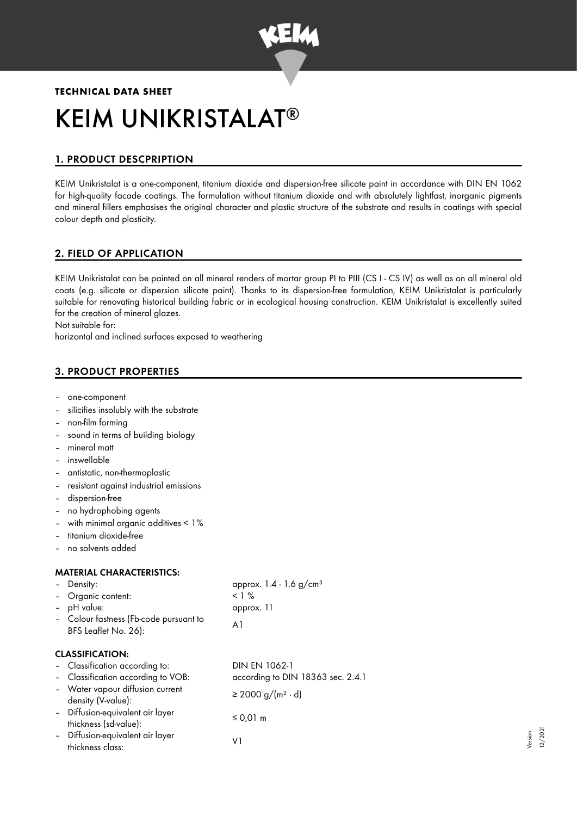

# **TECHNICAL DATA SHEET** KEIM UNIKRISTALAT ®

# 1. PRODUCT DESCPRIPTION

KEIM Unikristalat is a one-component, titanium dioxide and dispersion-free silicate paint in accordance with DIN EN 1062 for high-quality facade coatings. The formulation without titanium dioxide and with absolutely lightfast, inorganic pigments and mineral fillers emphasises the original character and plastic structure of the substrate and results in coatings with special colour depth and plasticity.

## 2. FIELD OF APPLICATION

KEIM Unikristalat can be painted on all mineral renders of mortar group PI to PIII (CS I - CS IV) as well as on all mineral old coats (e.g. silicate or dispersion silicate paint). Thanks to its dispersion-free formulation, KEIM Unikristalat is particularly suitable for renovating historical building fabric or in ecological housing construction. KEIM Unikristalat is excellently suited for the creation of mineral glazes.

Not suitable for:

horizontal and inclined surfaces exposed to weathering

# 3. PRODUCT PROPERTIES

- one-component
- silicifies insolubly with the substrate
- non-film forming
- sound in terms of building biology
- mineral matt
- inswellable
- antistatic, non-thermoplastic
- resistant against industrial emissions
- dispersion-free
- no hydrophobing agents
- with minimal organic additives < 1%
- titanium dioxide-free
- no solvents added

#### MATERIAL CHARACTERISTICS:

|        | Density:                                                       | approx. 1.4 - 1.6 g/cm <sup>3</sup> |
|--------|----------------------------------------------------------------|-------------------------------------|
|        | - Organic content:                                             | $< 1\%$                             |
| $\sim$ | pH value:                                                      | approx. 11                          |
|        | - Colour fastness (Fb-code pursuant to<br>BFS Leaflet No. 26): | A1                                  |
|        | <b>CLASSIFICATION:</b>                                         |                                     |
|        | - Classification according to:                                 | DIN EN 1062-1                       |
|        | - Classification according to VOB:                             | according to DIN 18363 sec. 2.4.1   |
|        | - Water vapour diffusion current<br>density (V-value):         | $\geq$ 2000 g/(m <sup>2</sup> ⋅ d)  |
|        | - Diffusion-equivalent air layer<br>thickness (sd-value):      | ≤ 0,01 m                            |
|        | - Diffusion-equivalent air layer<br>thickness class:           | V1                                  |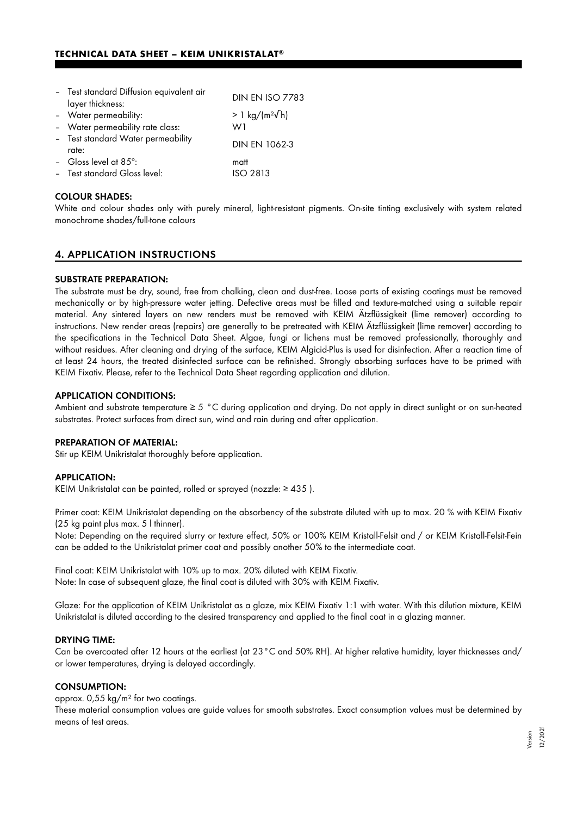| - Test standard Diffusion equivalent air<br>layer thickness:  | <b>DIN EN ISO 7783</b>     |
|---------------------------------------------------------------|----------------------------|
| - Water permeability:                                         | > 1 kg/(m <sup>2</sup> √h) |
| - Water permeability rate class:                              | W1                         |
| - Test standard Water permeability<br>rate:                   | <b>DIN EN 1062-3</b>       |
| - Gloss level at $85^\circ$ :<br>- Test standard Gloss level: | matt<br><b>ISO 2813</b>    |

#### COLOUR SHADES:

White and colour shades only with purely mineral, light-resistant pigments. On-site tinting exclusively with system related monochrome shades/full-tone colours

## 4. APPLICATION INSTRUCTIONS

#### SUBSTRATE PREPARATION:

The substrate must be dry, sound, free from chalking, clean and dust-free. Loose parts of existing coatings must be removed mechanically or by high-pressure water jetting. Defective areas must be filled and texture-matched using a suitable repair material. Any sintered layers on new renders must be removed with KEIM Ätzflüssigkeit (lime remover) according to instructions. New render areas (repairs) are generally to be pretreated with KEIM Ätzflüssigkeit (lime remover) according to the specifications in the Technical Data Sheet. Algae, fungi or lichens must be removed professionally, thoroughly and without residues. After cleaning and drying of the surface, KEIM Algicid-Plus is used for disinfection. After a reaction time of at least 24 hours, the treated disinfected surface can be refinished. Strongly absorbing surfaces have to be primed with KEIM Fixativ. Please, refer to the Technical Data Sheet regarding application and dilution.

#### APPLICATION CONDITIONS:

Ambient and substrate temperature ≥ 5 °C during application and drying. Do not apply in direct sunlight or on sun-heated substrates. Protect surfaces from direct sun, wind and rain during and after application.

#### PREPARATION OF MATERIAL:

Stir up KEIM Unikristalat thoroughly before application.

#### APPLICATION:

KEIM Unikristalat can be painted, rolled or sprayed (nozzle: ≥ 435 ).

Primer coat: KEIM Unikristalat depending on the absorbency of the substrate diluted with up to max. 20 % with KEIM Fixativ (25 kg paint plus max. 5 l thinner).

Note: Depending on the required slurry or texture effect, 50% or 100% KEIM Kristall-Felsit and / or KEIM Kristall-Felsit-Fein can be added to the Unikristalat primer coat and possibly another 50% to the intermediate coat.

Final coat: KEIM Unikristalat with 10% up to max. 20% diluted with KEIM Fixativ. Note: In case of subsequent glaze, the final coat is diluted with 30% with KEIM Fixativ.

Glaze: For the application of KEIM Unikristalat as a glaze, mix KEIM Fixativ 1:1 with water. With this dilution mixture, KEIM Unikristalat is diluted according to the desired transparency and applied to the final coat in a glazing manner.

#### DRYING TIME:

Can be overcoated after 12 hours at the earliest (at 23°C and 50% RH). At higher relative humidity, layer thicknesses and/ or lower temperatures, drying is delayed accordingly.

#### CONSUMPTION:

approx. 0,55 kg/m² for two coatings.

These material consumption values are guide values for smooth substrates. Exact consumption values must be determined by means of test areas.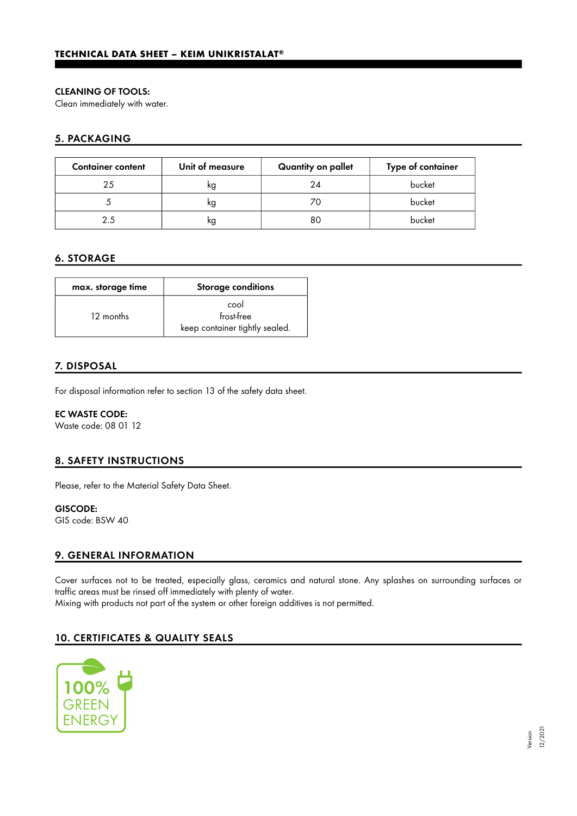#### CLEANING OF TOOLS:

Clean immediately with water.

## 5. PACKAGING

| <b>Container content</b> | Unit of measure | Quantity on pallet | Type of container |
|--------------------------|-----------------|--------------------|-------------------|
| 25                       | ĸg              | 24                 | bucket            |
|                          | ĸg              |                    | bucket            |
| 25                       | ĸg              | 80                 | bucket            |

## 6. STORAGE

| max. storage time | Storage conditions                                   |
|-------------------|------------------------------------------------------|
| 12 months         | cool<br>frost-free<br>keep container tightly sealed. |

## 7. DISPOSAL

For disposal information refer to section 13 of the safety data sheet.

#### EC WASTE CODE:

Waste code: 08 01 12

## 8. SAFETY INSTRUCTIONS

Please, refer to the Material Safety Data Sheet.

# GISCODE:

GIS code: BSW 40

## 9. GENERAL INFORMATION

Cover surfaces not to be treated, especially glass, ceramics and natural stone. Any splashes on surrounding surfaces or traffic areas must be rinsed off immediately with plenty of water. Mixing with products not part of the system or other foreign additives is not permitted.

## 10. CERTIFICATES & QUALITY SEALS